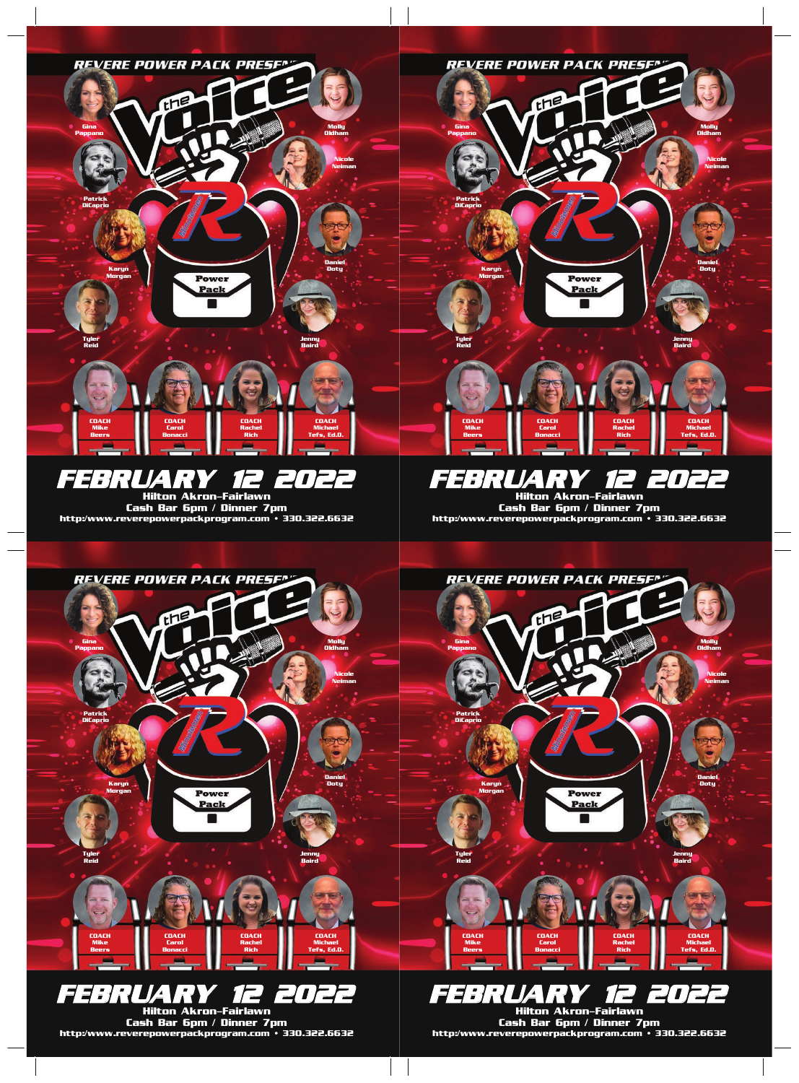

FEBRUARY 12 2022 Hilton Akron-Fairlawn

Cash Bar 6pm / Dinner 7pm http:/www.reverepowerpackprogram.com • 330.322.6632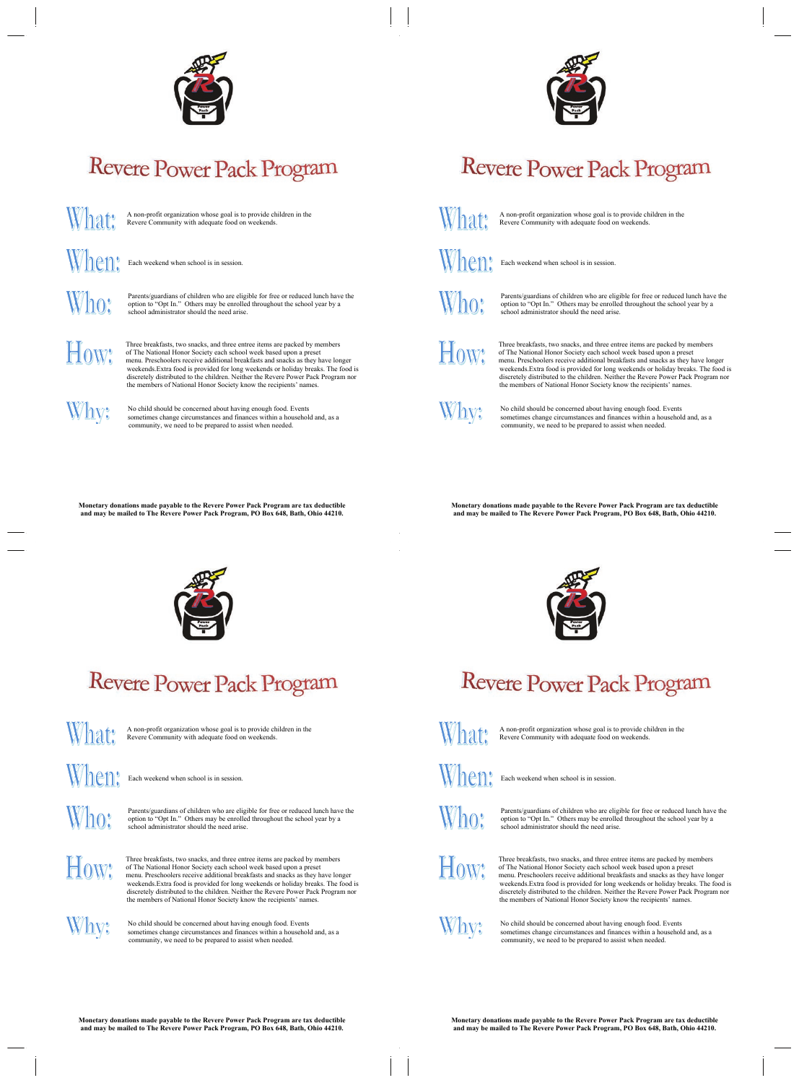

## **Revere Power Pack Program**

A non-profit organization whose goal is to provide children in the Revere Community with adequate food on weekends.

When:

What:

Each weekend when school is in session.

Who:

Parents/guardians of children who are eligible for free or reduced lunch have the option to "Opt In." Others may be enrolled throughout the school year by a school administrator should the need arise.

How:

Three breakfasts, two snacks, and three entree items are packed by members of The National Honor Society each school week based upon a preset menu. Preschoolers receive additional breakfasts and snacks as they have longer weekends. Extra food is provided for long weekends or holiday breaks. The food is discretely distributed to the children. Neither the Revere Power Pack Program nor the members of National Honor Society know the recipients' names.

## Why:

No child should be concerned about having enough food. Events sometimes change circumstances and finances within a household and, as a community, we need to be prepared to assist when needed.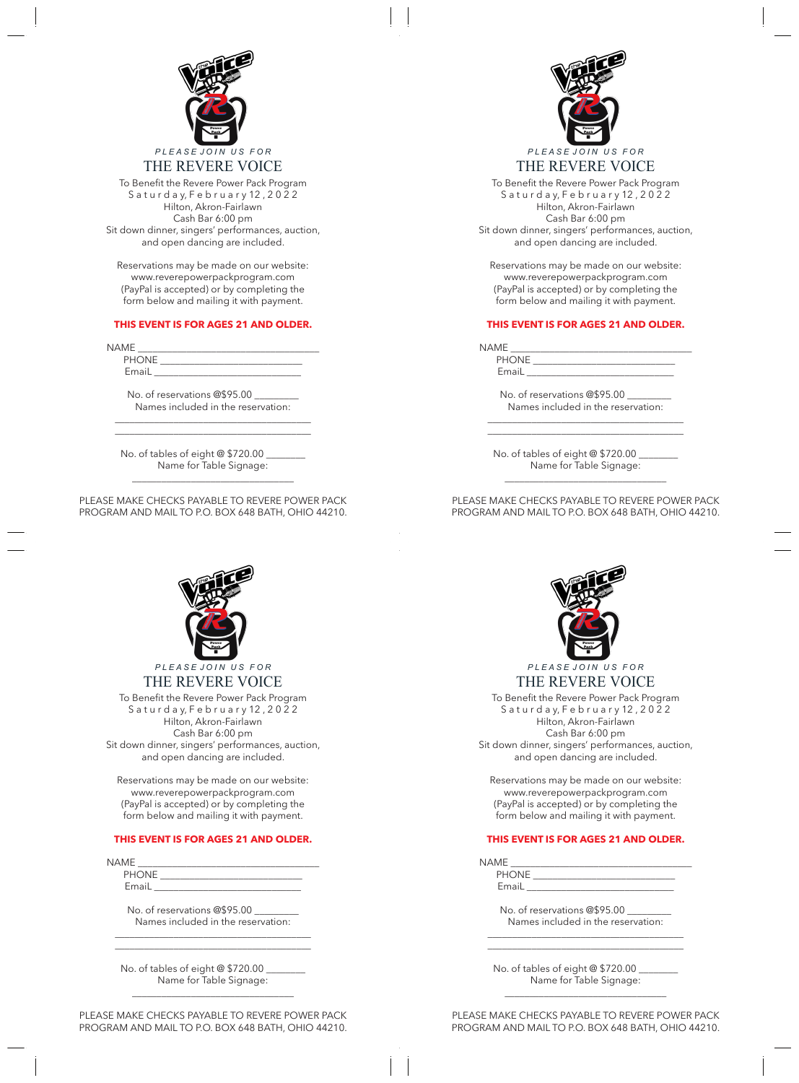

S a t u r d a y, F e b r u a r y 12, 2022 **S a t u r d a y, F e b r u a r y 12 , 2 0 2 2** Hilton, Akron-Fairlawn **Hilton, Akron-Fairlawn** Sit down dinner, singers' performances, auction, **Cash Bar 6:00 pm Sit down dinner, singers' performances, auction,** and open dancing are included. To Benefit the Revere Power Pack Program Cash Bar 6:00 pm

**and open dancing are included.** Reservations may be made on our website: *Reservations may be made on our*  www.reverepowerpackprogram.com *website::* (PayPal is accepted) or by completing the form below and mailing it with payment.

## *(PayPal is accepted) or by completing the*  **THIS EVENT IS FOR AGES 21 AND OLDER.**

| <b>NAME</b> |  |  |  |
|-------------|--|--|--|

*THIS EVENT IS FOR AGES 21 AND OLDER.* PHONE \_\_\_\_\_\_\_\_\_\_\_\_\_\_\_\_\_\_\_\_\_\_\_\_\_\_\_\_\_  $\overline{\phantom{a}}$  , and the contract of the contract of the contract of the contract of the contract of the contract of the contract of the contract of the contract of the contract of the contract of the contract of the contrac EmaiL \_\_\_\_\_\_\_\_\_\_\_\_\_\_\_\_\_\_\_\_\_\_\_\_\_\_\_\_\_\_

No. of reservations @\$95.00 \_\_*\_\_\_\_\_\_\_* Names included in the reservation: \_\_\_\_\_\_\_\_\_\_\_\_\_\_\_\_\_\_\_\_\_\_\_\_\_\_\_\_\_\_\_\_\_\_\_\_\_\_\_\_

\_\_\_\_\_\_\_\_\_\_\_\_\_\_\_\_\_\_\_\_\_\_\_\_\_\_\_\_\_\_\_\_\_\_\_\_\_\_\_\_

No. of tables of eight @ \$720.00 \_\_\_\_\_\_\_\_ Name for Table Signage:

**\_\_\_\_\_\_\_\_\_\_\_\_\_\_\_\_\_\_\_\_\_\_\_\_\_\_\_\_\_\_\_\_\_**  PLEASE MAKE CHECKS PAYABLE TO REVERE POWER PACK PROGRAM AND MAIL TO P.O. BOX 648 BATH, OHIO 44210.

\_\_\_\_\_\_\_\_\_\_\_\_\_\_\_\_\_\_\_\_\_\_\_\_\_\_\_\_\_\_\_\_\_

**No. of tables of eight @ \$720.00 \_\_\_\_\_\_\_\_**